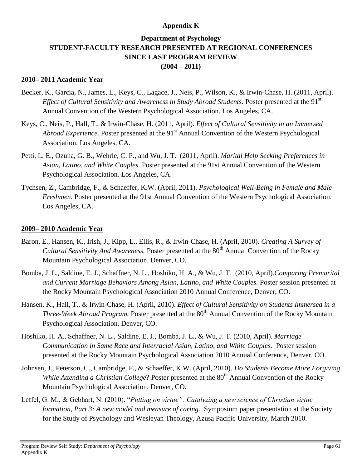# **Appendix K**

# **Department of Psychology STUDENT-FACULTY RESEARCH PRESENTED AT REGIONAL CONFERENCES SINCE LAST PROGRAM REVIEW (2004 – 2011)**

## **2010– 2011 Academic Year**

- Becker, K., Garcia, N., James, L., Keys, C., Lagace, J., Neis, P., Wilson, K., & Irwin-Chase, H. (2011, April). *Effect of Cultural Sensitivity and Awareness in Study Abroad Students.* Poster presented at the 91<sup>st</sup> Annual Convention of the Western Psychological Association. Los Angeles, CA.
- Keys, C., Neis, P., Hall, T., & Irwin-Chase, H. (2011, April). *Effect of Cultural Sensitivity in an Immersed Abroad Experience.* Poster presented at the 91<sup>st</sup> Annual Convention of the Western Psychological Association. Los Angeles, CA.
- Petti, L. E., Ozuna, G. B., Wehrle, C. P., and Wu, J. T. (2011, April). *Marital Help Seeking Preferences in Asian, Latino, and White Couples.* Poster presented at the 91st Annual Convention of the Western Psychological Association. Los Angeles, CA.
- Tychsen, Z., Cambridge, F., & Schaeffer, K.W. (April, 2011). *Psychological Well-Being in Female and Male Freshmen.* Poster presented at the 91st Annual Convention of the Western Psychological Association. Los Angeles, CA.

#### **2009– 2010 Academic Year**

- Baron, E., Hansen, K., Irish, J., Kipp, L., Ellis, R., & Irwin-Chase, H. (April, 2010). *Creating A Survey of Cultural Sensitivity And Awareness.* Poster presented at the 80<sup>th</sup> Annual Convention of the Rocky Mountain Psychological Association. Denver, CO.
- Bomba, J. L., Saldine, E. J., Schaffner, N. L., Hoshiko, H. A., & Wu, J. T. (2010, April).*Comparing Premarital and Current Marriage Behaviors Among Asian, Latino, and White Couples.* Poster session presented at the Rocky Mountain Psychological Association 2010 Annual Conference, Denver, CO.
- Hansen, K., Hall, T., & Irwin-Chase, H. (April, 2010). *Effect of Cultural Sensitivity on Students Immersed in a Three-Week Abroad Program.* Poster presented at the 80<sup>th</sup> Annual Convention of the Rocky Mountain Psychological Association. Denver, CO.
- Hoshiko, H. A., Schaffner, N. L., Saldine, E. J., Bomba, J. L., & Wu, J. T. (2010, April). *Marriage Communication in Same Race and Interracial Asian, Latino, and White Couples.* Poster session presented at the Rocky Mountain Psychological Association 2010 Annual Conference, Denver, CO.
- Johnsen, J., Peterson, C., Cambridge, F., & Schaeffer, K.W. (April, 2010). *Do Students Become More Forgiving While Attending a Christian College*? Poster presented at the 80<sup>th</sup> Annual Convention of the Rocky Mountain Psychological Association. Denver, CO.
- Leffel, G. M., & Gebhart, N. (2010). "*Putting on virtue": Catalyzing a new science of Christian virtue formation, Part 3: A new model and measure of caring.* Symposium paper presentation at the Society for the Study of Psychology and Wesleyan Theology, Azusa Pacific University, March 2010.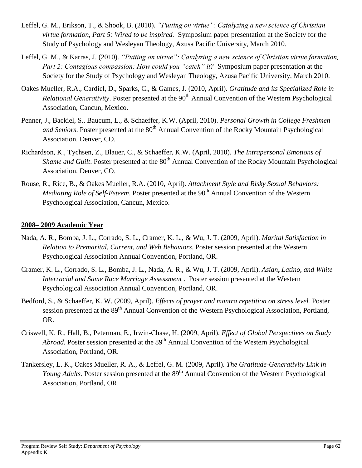- Leffel, G. M., Erikson, T., & Shook, B. (2010). *"Putting on virtue": Catalyzing a new science of Christian virtue formation, Part 5: Wired to be inspired.* Symposium paper presentation at the Society for the Study of Psychology and Wesleyan Theology, Azusa Pacific University, March 2010.
- Leffel, G. M., & Karras, J. (2010). *"Putting on virtue": Catalyzing a new science of Christian virtue formation, Part 2: Contagious compassion: How could you "catch" it?* Symposium paper presentation at the Society for the Study of Psychology and Wesleyan Theology, Azusa Pacific University, March 2010.
- Oakes Mueller, R.A., Cardiel, D., Sparks, C., & Games, J. (2010, April). *Gratitude and its Specialized Role in Relational Generativity.* Poster presented at the 90<sup>th</sup> Annual Convention of the Western Psychological Association, Cancun, Mexico.
- Penner, J., Backiel, S., Baucum, L., & Schaeffer, K.W. (April, 2010). *Personal Growth in College Freshmen and Seniors*. Poster presented at the 80<sup>th</sup> Annual Convention of the Rocky Mountain Psychological Association. Denver, CO.
- Richardson, K., Tychsen, Z., Blauer, C., & Schaeffer, K.W. (April, 2010). *The Intrapersonal Emotions of Shame and Guilt*. Poster presented at the 80<sup>th</sup> Annual Convention of the Rocky Mountain Psychological Association. Denver, CO.
- Rouse, R., Rice, B., & Oakes Mueller, R.A. (2010, April). *Attachment Style and Risky Sexual Behaviors: Mediating Role of Self-Esteem.* Poster presented at the 90<sup>th</sup> Annual Convention of the Western Psychological Association, Cancun, Mexico.

#### **2008– 2009 Academic Year**

- Nada, A. R., Bomba, J. L., Corrado, S. L., Cramer, K. L., & Wu, J. T. (2009, April). *Marital Satisfaction in Relation to Premarital, Current, and Web Behaviors*. Poster session presented at the Western Psychological Association Annual Convention, Portland, OR.
- Cramer, K. L., Corrado, S. L., Bomba, J. L., Nada, A. R., & Wu, J. T. (2009, April). *Asian***,** *Latino, and White Interracial and Same Race Marriage Assessment* . Poster session presented at the Western Psychological Association Annual Convention, Portland, OR.
- Bedford, S., & Schaeffer, K. W. (2009, April). *Effects of prayer and mantra repetition on stress level*. Poster session presented at the 89<sup>th</sup> Annual Convention of the Western Psychological Association, Portland, OR.
- Criswell, K. R., Hall, B., Peterman, E., Irwin-Chase, H. (2009, April). *Effect of Global Perspectives on Study Abroad.* Poster session presented at the 89<sup>th</sup> Annual Convention of the Western Psychological Association, Portland, OR.
- Tankersley, L. K., Oakes Mueller, R. A., & Leffel, G. M. (2009, April)*. The Gratitude-Generativity Link in Young Adults.* Poster session presented at the 89<sup>th</sup> Annual Convention of the Western Psychological Association, Portland, OR.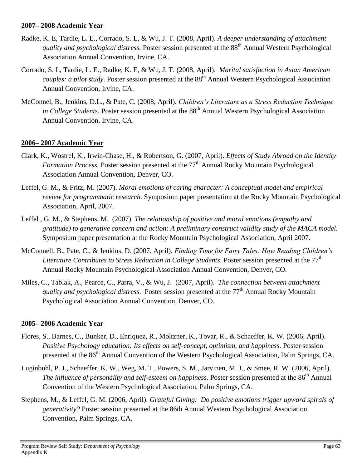#### **2007– 2008 Academic Year**

- Radke, K. E, Tardie, L. E., Corrado, S. L, & Wu, J. T. (2008, April). *A deeper understanding of attachment quality and psychological distress.* Poster session presented at the 88<sup>th</sup> Annual Western Psychological Association Annual Convention, Irvine, CA.
- Corrado, S. L, Tardie, L. E., Radke, K. E, & Wu, J. T. (2008, April). *Marital satisfaction in Asian American couples: a pilot study.* Poster session presented at the 88<sup>th</sup> Annual Western Psychological Association Annual Convention, Irvine, CA.
- McConnel, B., Jenkins, D.L., & Pate, C. (2008, April). *Children's Literature as a Stress Reduction Technique in College Students.* Poster session presented at the 88<sup>th</sup> Annual Western Psychological Association Annual Convention, Irvine, CA.

# **2006– 2007 Academic Year**

- Clark, K., Wostrel, K., Irwin-Chase, H., & Robertson, G. (2007, April). *Effects of Study Abroad on the Identity Formation Process*. Poster session presented at the 77<sup>th</sup> Annual Rocky Mountain Psychological Association Annual Convention, Denver, CO.
- Leffel, G. M., & Fritz, M. (2007). *Moral emotions of caring character: A conceptual model and empirical review for programmatic research.* Symposium paper presentation at the Rocky Mountain Psychological Association, April, 2007.
- Leffel , G. M., & Stephens, M. (2007). *The relationship of positive and moral emotions (empathy and gratitude) to generative concern and action: A preliminary construct validity study of the MACA model.* Symposium paper presentation at the Rocky Mountain Psychological Association, April 2007.
- McConnell, B., Pate, C., & Jenkins, D. (2007, April). *Finding Time for Fairy Tales: How Reading Children's Literature Contributes to Stress Reduction in College Students.* Poster session presented at the 77<sup>th</sup> Annual Rocky Mountain Psychological Association Annual Convention, Denver, CO.
- Miles, C., Tablak, A., Pearce, C., Parra, V., & Wu, J. (2007, April). *The connection between attachment quality and psychological distress.* Poster session presented at the 77<sup>th</sup> Annual Rocky Mountain Psychological Association Annual Convention, Denver, CO.

#### **2005– 2006 Academic Year**

- Flores, S., Barnes, C., Bunker, D., Enriquez, R., Moltzner, K., Tovar, R., & Schaeffer, K. W. (2006, April). *Positive Psychology education: Its effects on self-concept, optimism, and happiness. Poster session* presented at the 86<sup>th</sup> Annual Convention of the Western Psychological Association, Palm Springs, CA.
- Luginbuhl, P. J., Schaeffer, K. W., Weg, M. T., Powers, S. M., Jarvinen, M. J., & Smee, R. W. (2006, April). *The influence of personality and self-esteem on happiness.* Poster session presented at the 86<sup>th</sup> Annual Convention of the Western Psychological Association, Palm Springs, CA.
- Stephens, M., & Leffel, G. M. (2006, April). *Grateful Giving: Do positive emotions trigger upward spirals of generativity?* Poster session presented at the 86th Annual Western Psychological Association Convention, Palm Springs, CA.